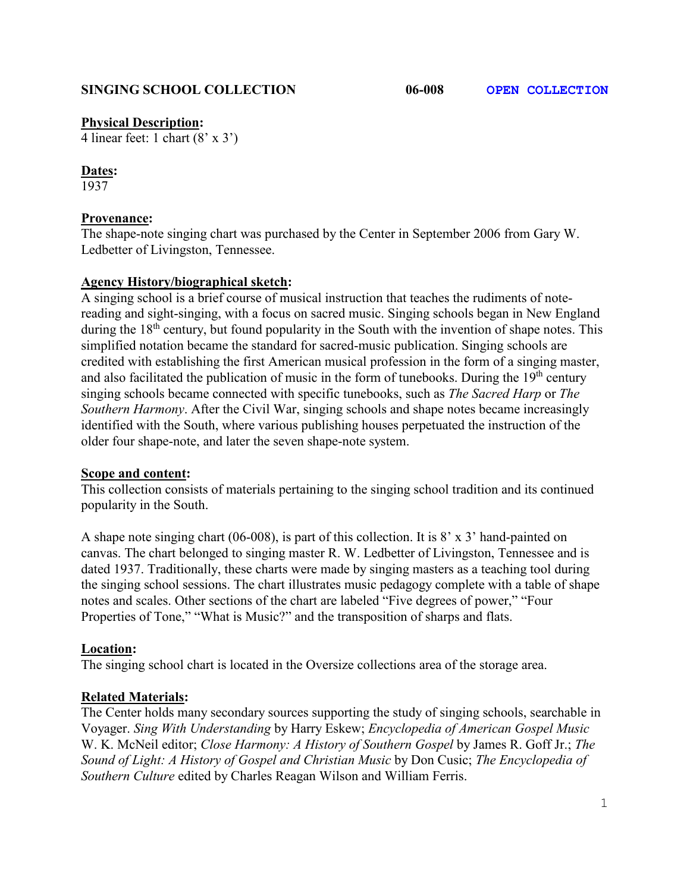### **SINGING SCHOOL COLLECTION 06-008 OPEN COLLECTION**

### **Physical Description:**

4 linear feet: 1 chart (8' x 3')

# **Dates:**

1937

# **Provenance:**

The shape-note singing chart was purchased by the Center in September 2006 from Gary W. Ledbetter of Livingston, Tennessee.

# **Agency History/biographical sketch:**

A singing school is a brief course of musical instruction that teaches the rudiments of notereading and sight-singing, with a focus on sacred music. Singing schools began in New England during the 18<sup>th</sup> century, but found popularity in the South with the invention of shape notes. This simplified notation became the standard for sacred-music publication. Singing schools are credited with establishing the first American musical profession in the form of a singing master, and also facilitated the publication of music in the form of tunebooks. During the  $19<sup>th</sup>$  century singing schools became connected with specific tunebooks, such as *The Sacred Harp* or *The Southern Harmony*. After the Civil War, singing schools and shape notes became increasingly identified with the South, where various publishing houses perpetuated the instruction of the older four shape-note, and later the seven shape-note system.

### **Scope and content:**

This collection consists of materials pertaining to the singing school tradition and its continued popularity in the South.

A shape note singing chart (06-008), is part of this collection. It is 8' x 3' hand-painted on canvas. The chart belonged to singing master R. W. Ledbetter of Livingston, Tennessee and is dated 1937. Traditionally, these charts were made by singing masters as a teaching tool during the singing school sessions. The chart illustrates music pedagogy complete with a table of shape notes and scales. Other sections of the chart are labeled "Five degrees of power," "Four Properties of Tone," "What is Music?" and the transposition of sharps and flats.

### **Location:**

The singing school chart is located in the Oversize collections area of the storage area.

# **Related Materials:**

The Center holds many secondary sources supporting the study of singing schools, searchable in Voyager. *Sing With Understanding* by Harry Eskew; *Encyclopedia of American Gospel Music* W. K. McNeil editor; *Close Harmony: A History of Southern Gospel* by James R. Goff Jr.; *The Sound of Light: A History of Gospel and Christian Music* by Don Cusic; *The Encyclopedia of Southern Culture* edited by Charles Reagan Wilson and William Ferris.